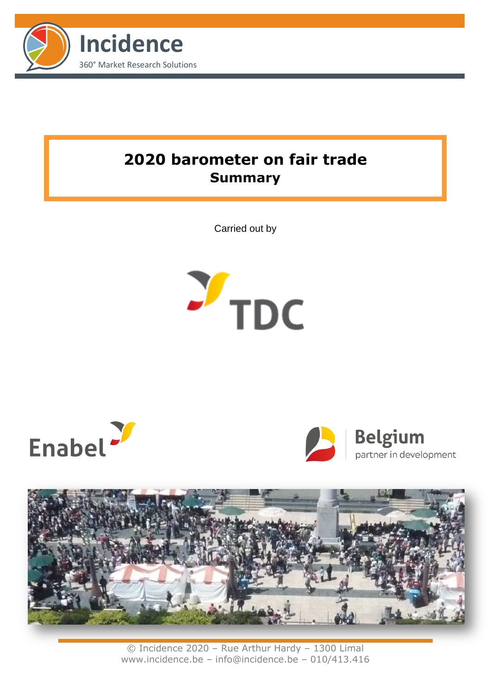

# **2020 barometer on fair trade Summary**

Carried out by









© Incidence 2020 – Rue Arthur Hardy – 1300 Limal www.incidence.be – info@incidence.be – 010/413.416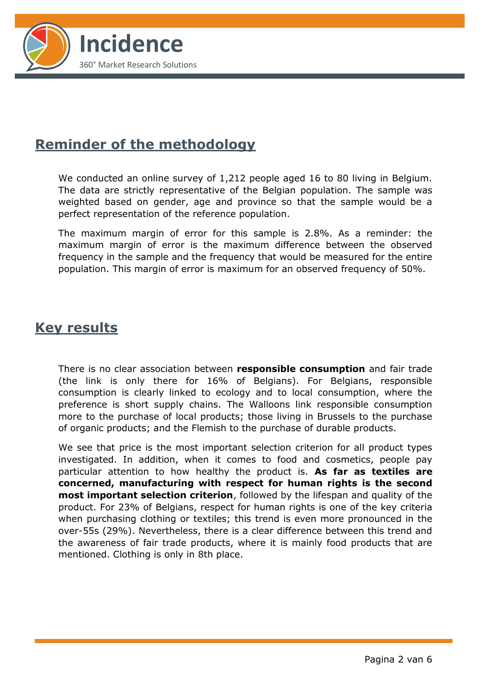

## **Reminder of the methodology**

We conducted an online survey of 1,212 people aged 16 to 80 living in Belgium. The data are strictly representative of the Belgian population. The sample was weighted based on gender, age and province so that the sample would be a perfect representation of the reference population.

The maximum margin of error for this sample is 2.8%. As a reminder: the maximum margin of error is the maximum difference between the observed frequency in the sample and the frequency that would be measured for the entire population. This margin of error is maximum for an observed frequency of 50%.

### **Key results**

There is no clear association between **responsible consumption** and fair trade (the link is only there for 16% of Belgians). For Belgians, responsible consumption is clearly linked to ecology and to local consumption, where the preference is short supply chains. The Walloons link responsible consumption more to the purchase of local products; those living in Brussels to the purchase of organic products; and the Flemish to the purchase of durable products.

We see that price is the most important selection criterion for all product types investigated. In addition, when it comes to food and cosmetics, people pay particular attention to how healthy the product is. **As far as textiles are concerned, manufacturing with respect for human rights is the second most important selection criterion**, followed by the lifespan and quality of the product. For 23% of Belgians, respect for human rights is one of the key criteria when purchasing clothing or textiles; this trend is even more pronounced in the over-55s (29%). Nevertheless, there is a clear difference between this trend and the awareness of fair trade products, where it is mainly food products that are mentioned. Clothing is only in 8th place.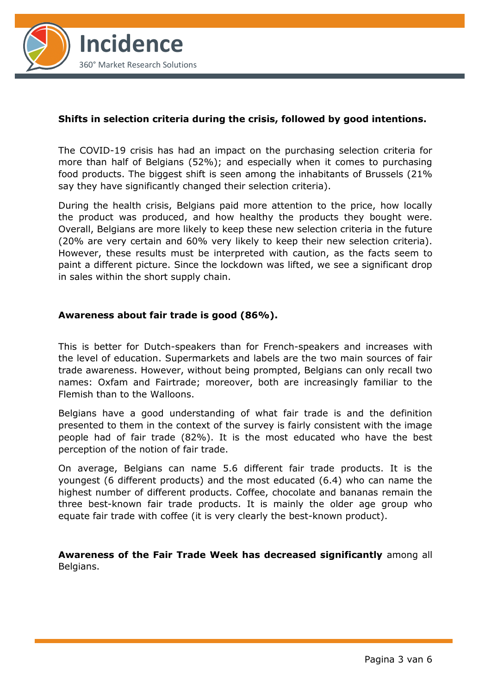

#### **Shifts in selection criteria during the crisis, followed by good intentions.**

The COVID-19 crisis has had an impact on the purchasing selection criteria for more than half of Belgians (52%); and especially when it comes to purchasing food products. The biggest shift is seen among the inhabitants of Brussels (21% say they have significantly changed their selection criteria).

During the health crisis, Belgians paid more attention to the price, how locally the product was produced, and how healthy the products they bought were. Overall, Belgians are more likely to keep these new selection criteria in the future (20% are very certain and 60% very likely to keep their new selection criteria). However, these results must be interpreted with caution, as the facts seem to paint a different picture. Since the lockdown was lifted, we see a significant drop in sales within the short supply chain.

#### **Awareness about fair trade is good (86%).**

This is better for Dutch-speakers than for French-speakers and increases with the level of education. Supermarkets and labels are the two main sources of fair trade awareness. However, without being prompted, Belgians can only recall two names: Oxfam and Fairtrade; moreover, both are increasingly familiar to the Flemish than to the Walloons.

Belgians have a good understanding of what fair trade is and the definition presented to them in the context of the survey is fairly consistent with the image people had of fair trade (82%). It is the most educated who have the best perception of the notion of fair trade.

On average, Belgians can name 5.6 different fair trade products. It is the youngest (6 different products) and the most educated (6.4) who can name the highest number of different products. Coffee, chocolate and bananas remain the three best-known fair trade products. It is mainly the older age group who equate fair trade with coffee (it is very clearly the best-known product).

**Awareness of the Fair Trade Week has decreased significantly** among all Belgians.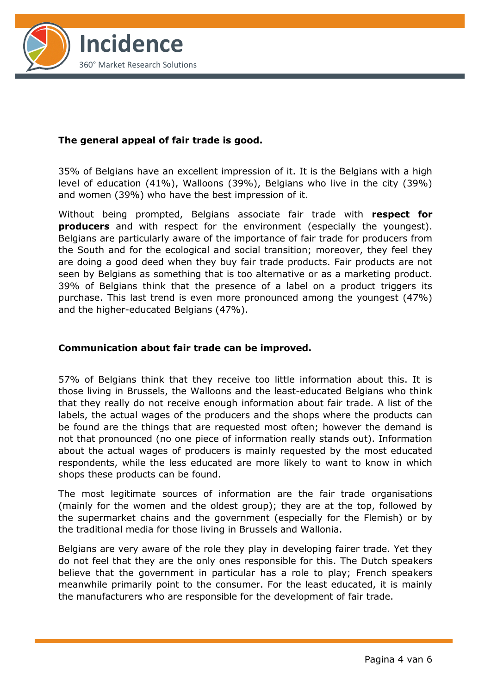

### **The general appeal of fair trade is good.**

35% of Belgians have an excellent impression of it. It is the Belgians with a high level of education (41%), Walloons (39%), Belgians who live in the city (39%) and women (39%) who have the best impression of it.

Without being prompted, Belgians associate fair trade with **respect for producers** and with respect for the environment (especially the youngest). Belgians are particularly aware of the importance of fair trade for producers from the South and for the ecological and social transition; moreover, they feel they are doing a good deed when they buy fair trade products. Fair products are not seen by Belgians as something that is too alternative or as a marketing product. 39% of Belgians think that the presence of a label on a product triggers its purchase. This last trend is even more pronounced among the youngest (47%) and the higher-educated Belgians (47%).

#### **Communication about fair trade can be improved.**

57% of Belgians think that they receive too little information about this. It is those living in Brussels, the Walloons and the least-educated Belgians who think that they really do not receive enough information about fair trade. A list of the labels, the actual wages of the producers and the shops where the products can be found are the things that are requested most often; however the demand is not that pronounced (no one piece of information really stands out). Information about the actual wages of producers is mainly requested by the most educated respondents, while the less educated are more likely to want to know in which shops these products can be found.

The most legitimate sources of information are the fair trade organisations (mainly for the women and the oldest group); they are at the top, followed by the supermarket chains and the government (especially for the Flemish) or by the traditional media for those living in Brussels and Wallonia.

Belgians are very aware of the role they play in developing fairer trade. Yet they do not feel that they are the only ones responsible for this. The Dutch speakers believe that the government in particular has a role to play; French speakers meanwhile primarily point to the consumer. For the least educated, it is mainly the manufacturers who are responsible for the development of fair trade.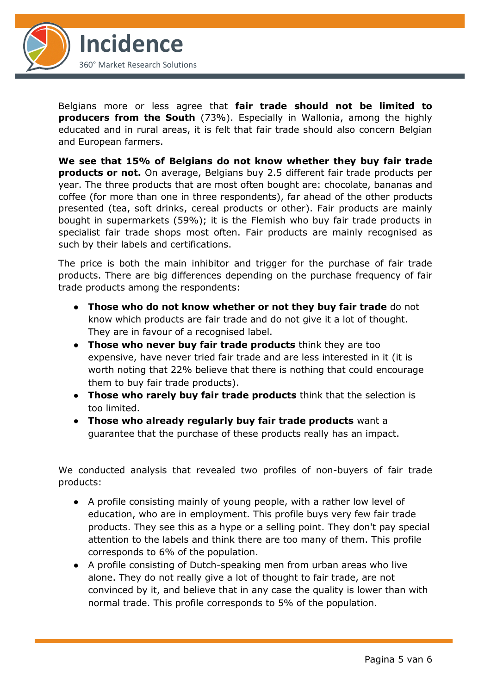

Belgians more or less agree that **fair trade should not be limited to producers from the South** (73%). Especially in Wallonia, among the highly educated and in rural areas, it is felt that fair trade should also concern Belgian and European farmers.

**We see that 15% of Belgians do not know whether they buy fair trade products or not.** On average, Belgians buy 2.5 different fair trade products per year. The three products that are most often bought are: chocolate, bananas and coffee (for more than one in three respondents), far ahead of the other products presented (tea, soft drinks, cereal products or other). Fair products are mainly bought in supermarkets (59%); it is the Flemish who buy fair trade products in specialist fair trade shops most often. Fair products are mainly recognised as such by their labels and certifications.

The price is both the main inhibitor and trigger for the purchase of fair trade products. There are big differences depending on the purchase frequency of fair trade products among the respondents:

- **Those who do not know whether or not they buy fair trade** do not know which products are fair trade and do not give it a lot of thought. They are in favour of a recognised label.
- **Those who never buy fair trade products** think they are too expensive, have never tried fair trade and are less interested in it (it is worth noting that 22% believe that there is nothing that could encourage them to buy fair trade products).
- **Those who rarely buy fair trade products** think that the selection is too limited.
- **Those who already regularly buy fair trade products** want a guarantee that the purchase of these products really has an impact.

We conducted analysis that revealed two profiles of non-buyers of fair trade products:

- A profile consisting mainly of young people, with a rather low level of education, who are in employment. This profile buys very few fair trade products. They see this as a hype or a selling point. They don't pay special attention to the labels and think there are too many of them. This profile corresponds to 6% of the population.
- A profile consisting of Dutch-speaking men from urban areas who live alone. They do not really give a lot of thought to fair trade, are not convinced by it, and believe that in any case the quality is lower than with normal trade. This profile corresponds to 5% of the population.